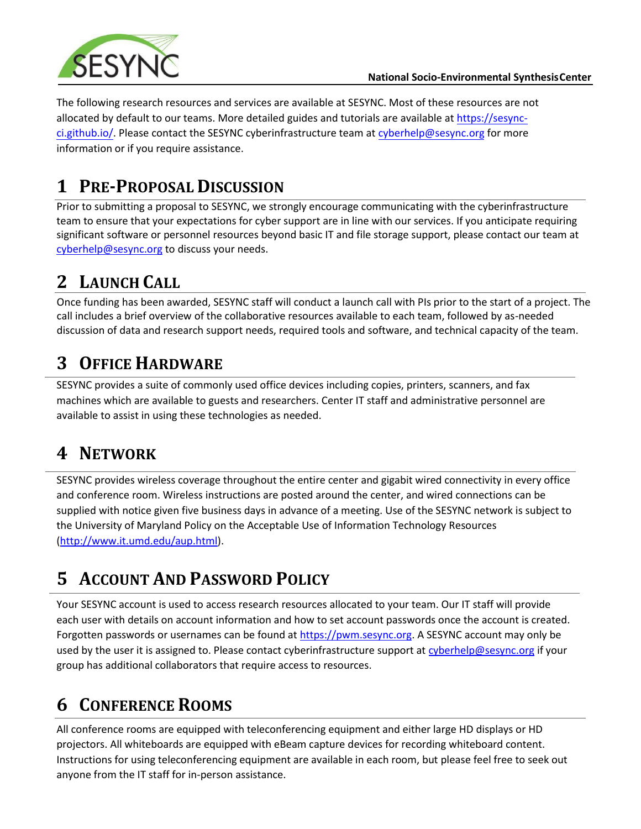

The following research resources and services are available at SESYNC. Most of these resources are not allocated by default to our teams. More detailed guides and tutorials are available at https://sesync-ci.github.io/. [Please contact th](http://cyberhelp.sesync.org/)e SESYNC cyberinfrastructure team at [cyberhelp@sesync.org](mailto:cyberhelp@sesync.org) for more information or if you require assistance.

## **1 PRE-PROPOSAL DISCUSSION**

Prior to submitting a proposal to SESYNC, we strongly encourage communicating with the cyberinfrastructure team to ensure that your expectations for cyber support are in line with our services. If you anticipate requiring significant software or personnel resources beyond basic IT and file storage support, please contact our team at [cyberhelp@sesync.org](mailto:cyberhelp@sesync.org) to discuss your needs.

# **2 LAUNCH CALL**

Once funding has been awarded, SESYNC staff will conduct a launch call with PIs prior to the start of a project. The call includes a brief overview of the collaborative resources available to each team, followed by as-needed discussion of data and research support needs, required tools and software, and technical capacity of the team.

# **3 OFFICE HARDWARE**

SESYNC provides a suite of commonly used office devices including copies, printers, scanners, and fax machines which are available to guests and researchers. Center IT staff and administrative personnel are available to assist in using these technologies as needed.

## **4 NETWORK**

SESYNC provides wireless coverage throughout the entire center and gigabit wired connectivity in every office and conference room. Wireless instructions are posted around the center, and wired connections can be supplied with notice given five business days in advance of a meeting. Use of the SESYNC network is subject to the University of Maryland Policy on the Acceptable Use of Information Technology Resources [\(http://www.it.umd.edu/aup.html\)](http://www.it.umd.edu/aup.html).

# **5 ACCOUNT AND PASSWORD POLICY**

Your SESYNC account is used to access research resources allocated to your team. Our IT staff will provide each user with details on account information and how to set account passwords once the account is created. Forgotten passwords or usernames can be found a[t https://pwm.sesync.org. A](https://pwm.sesync.org/) SESYNC account may only be used by the user it is assigned to. Please contact cyberinfrastructure support at [cyberhelp@sesync.org](mailto:cyberhelp@sesync.org) if your group has additional collaborators that require access to resources.

# **6 CONFERENCE ROOMS**

All conference rooms are equipped with teleconferencing equipment and either large HD displays or HD projectors. All whiteboards are equipped with eBeam capture devices for recording whiteboard content. Instructions for using teleconferencing equipment are available in each room, but please feel free to seek out anyone from the IT staff for in-person assistance.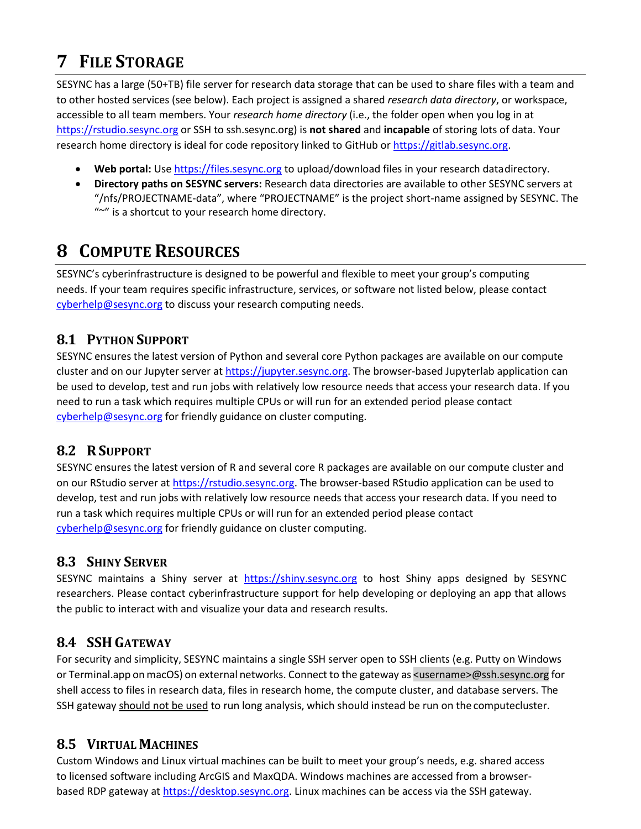## **7 FILE STORAGE**

SESYNC has a large (50+TB) file server for research data storage that can be used to share files with a team and to other hosted services (see below). Each project is assigned a shared *research data directory*, or workspace, accessible to all team members. Your *research home directory* (i.e., the folder open when you log in at [https://rstudio.sesync.org](https://rstudio.sesync.org/) or SSH to ssh.sesync.org) is **not shared** and **incapable** of storing lots of data. Your research home directory is ideal for code repository linked to GitHub o[r https://gitlab.sesync.org.](https://gitlab.sesync.org/)

- **Web portal:** Use [https://files.sesync.org](https://files.sesync.org/) to upload/download files in your research datadirectory.
- **Directory paths on SESYNC servers:** Research data directories are available to other SESYNC servers at "/nfs/PROJECTNAME-data", where "PROJECTNAME" is the project short-name assigned by SESYNC. The "~" is a shortcut to your research home directory.

## **8 COMPUTE RESOURCES**

SESYNC's cyberinfrastructure is designed to be powerful and flexible to meet your group's computing needs. If your team requires specific infrastructure, services, or software not listed below, please contact [cyberhelp@sesync.org](mailto:cyberhelp@sesync.org) to discuss your research computing needs.

#### **8.1 PYTHON SUPPORT**

SESYNC ensures the latest version of Python and several core Python packages are available on our compute cluster and on our Jupyter server at [https://jupyter.sesync.org. T](https://jupyter.sesync.org/)he browser-based Jupyterlab application can be used to develop, test and run jobs with relatively low resource needs that access your research data. If you need to run a task which requires multiple CPUs or will run for an extended period please contact [cyberhelp@sesync.org](mailto:cyberhelp@sesync.org) for friendly guidance on cluster computing.

#### **8.2 RSUPPORT**

SESYNC ensures the latest version of R and several core R packages are available on our compute cluster and on our RStudio server at [https://rstudio.sesync.org.](https://rstudio.sesync.org/) The browser-based RStudio application can be used to develop, test and run jobs with relatively low resource needs that access your research data. If you need to run a task which requires multiple CPUs or will run for an extended period please contact [cyberhelp@sesync.org](mailto:cyberhelp@sesync.org) for friendly guidance on cluster computing.

#### **8.3 SHINY SERVER**

SESYNC maintains a Shiny server at [https://shiny.sesync.org](https://shiny.sesync.org/) to host Shiny apps designed by SESYNC researchers. Please contact cyberinfrastructure support for help developing or deploying an app that allows the public to interact with and visualize your data and research results.

#### **8.4 SSH GATEWAY**

For security and simplicity, SESYNC maintains a single SSH server open to SSH clients (e.g. Putty on Windows or Terminal.app on macOS) on external networks. Connect to the gateway as <username>@ssh.sesync.org for shell access to files in research data, files in research home, the compute cluster, and database servers. The SSH gateway should not be used to run long analysis, which should instead be run on the computecluster.

#### **8.5 VIRTUAL MACHINES**

Custom Windows and Linux virtual machines can be built to meet your group's needs, e.g. shared access to licensed software including ArcGIS and MaxQDA. Windows machines are accessed from a browserbased RDP gateway a[t https://desktop.sesync.org. L](https://desktop.sesync.org/)inux machines can be access via the SSH gateway.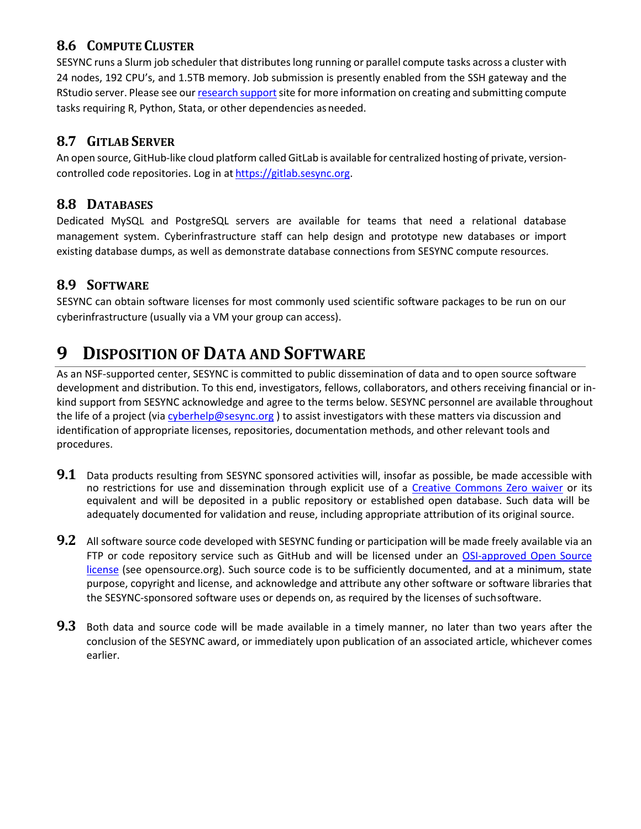#### **8.6 COMPUTE CLUSTER**

SESYNC runs a Slurm job scheduler that distributes long running or parallel compute tasks across a cluster with 24 nodes, 192 CPU's, and 1.5TB memory. Job submission is presently enabled from the SSH gateway and the RStudio server. Please see our [research](https://sesync-ci.github.io/quickstart/Using-the-SESYNC-Cluster.html) support site for more information on creating and submitting compute tasks requiring R, Python, Stata, or other dependencies as needed.

#### **8.7 GITLAB SERVER**

An open source, GitHub-like cloud platform called GitLab is available for centralized hosting of private, versioncontrolled code repositories. Log in at [https://gitlab.sesync.org.](https://gitlab.sesync.org/)

#### **8.8 DATABASES**

Dedicated MySQL and PostgreSQL servers are available for teams that need a relational database management system. Cyberinfrastructure staff can help design and prototype new databases or import existing database dumps, as well as demonstrate database connections from SESYNC compute resources.

#### **8.9 SOFTWARE**

SESYNC can obtain software licenses for most commonly used scientific software packages to be run on our cyberinfrastructure (usually via a VM your group can access).

### **9 DISPOSITION OF DATA AND SOFTWARE**

As an NSF-supported center, SESYNC is committed to public dissemination of data and to open source software development and distribution. To this end, investigators, fellows, collaborators, and others receiving financial or inkind support from SESYNC acknowledge and agree to the terms below. SESYNC personnel are available throughout the life of a project (vi[a cyberhelp@sesync.org](mailto:cyberhelp@sesync.org) ) to assist investigators with these matters via discussion and identification of appropriate licenses, repositories, documentation methods, and other relevant tools and procedures.

- **9.1** Data products resulting from SESYNC sponsored activities will, insofar as possible, be made accessible with no restrictions for use and dissemination through explicit use of a [Creative Commons Zero waiver](http://creativecommons.org/choose/zero/) or its equivalent and will be deposited in a public repository or established open database. Such data will be adequately documented for validation and reuse, including appropriate attribution of its original source.
- **9.2** All software source code developed with SESYNC funding or participation will be made freely available via an FTP or code repository service such as GitHub and will be licensed under an OSI-approved Open Source [license](https://opensource.org/licenses) (see opensource.org). Such source code is to be sufficiently documented, and at a minimum, state purpose, copyright and license, and acknowledge and attribute any other software or software libraries that the SESYNC-sponsored software uses or depends on, as required by the licenses of suchsoftware.
- **9.3** Both data and source code will be made available in a timely manner, no later than two years after the conclusion of the SESYNC award, or immediately upon publication of an associated article, whichever comes earlier.